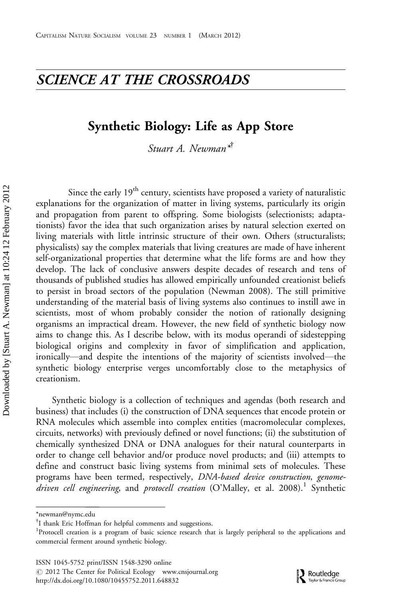# SCIENCE AT THE CROSSROADS

# Synthetic Biology: Life as App Store

Stuart A. Newman<sup>\*\*</sup>

Since the early  $19<sup>th</sup>$  century, scientists have proposed a variety of naturalistic explanations for the organization of matter in living systems, particularly its origin and propagation from parent to offspring. Some biologists (selectionists; adaptationists) favor the idea that such organization arises by natural selection exerted on living materials with little intrinsic structure of their own. Others (structuralists; physicalists) say the complex materials that living creatures are made of have inherent self-organizational properties that determine what the life forms are and how they develop. The lack of conclusive answers despite decades of research and tens of thousands of published studies has allowed empirically unfounded creationist beliefs to persist in broad sectors of the population (Newman 2008). The still primitive understanding of the material basis of living systems also continues to instill awe in scientists, most of whom probably consider the notion of rationally designing organisms an impractical dream. However, the new field of synthetic biology now aims to change this. As I describe below, with its modus operandi of sidestepping biological origins and complexity in favor of simplification and application, ironically—and despite the intentions of the majority of scientists involved—the synthetic biology enterprise verges uncomfortably close to the metaphysics of creationism.

Synthetic biology is a collection of techniques and agendas (both research and business) that includes (i) the construction of DNA sequences that encode protein or RNA molecules which assemble into complex entities (macromolecular complexes, circuits, networks) with previously defined or novel functions; (ii) the substitution of chemically synthesized DNA or DNA analogues for their natural counterparts in order to change cell behavior and/or produce novel products; and (iii) attempts to define and construct basic living systems from minimal sets of molecules. These programs have been termed, respectively, DNA-based device construction, genomedriven cell engineering, and protocell creation (O'Malley, et al. 2008).<sup>1</sup> Synthetic

 $\oslash$  2012 The Center for Political Ecology [www.cnsjournal.org](http://www.cnsjournal.org) <http://dx.doi.org/10.1080/10455752.2011.648832>



<sup>\*</sup>newman@nymc.edu

<sup>&</sup>lt;sup>†</sup>I thank Eric Hoffman for helpful comments and suggestions.

<sup>&</sup>lt;sup>1</sup>Protocell creation is a program of basic science research that is largely peripheral to the applications and commercial ferment around synthetic biology.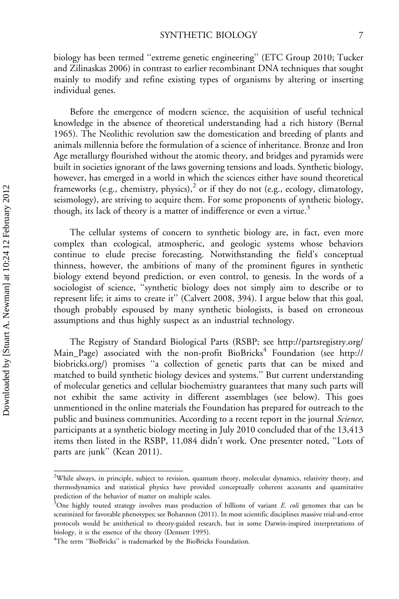biology has been termed ''extreme genetic engineering'' (ETC Group 2010; Tucker and Zilinaskas 2006) in contrast to earlier recombinant DNA techniques that sought mainly to modify and refine existing types of organisms by altering or inserting individual genes.

Before the emergence of modern science, the acquisition of useful technical knowledge in the absence of theoretical understanding had a rich history (Bernal 1965). The Neolithic revolution saw the domestication and breeding of plants and animals millennia before the formulation of a science of inheritance. Bronze and Iron Age metallurgy flourished without the atomic theory, and bridges and pyramids were built in societies ignorant of the laws governing tensions and loads. Synthetic biology, however, has emerged in a world in which the sciences either have sound theoretical frameworks (e.g., chemistry, physics),<sup>2</sup> or if they do not (e.g., ecology, climatology, seismology), are striving to acquire them. For some proponents of synthetic biology, though, its lack of theory is a matter of indifference or even a virtue.<sup>3</sup>

The cellular systems of concern to synthetic biology are, in fact, even more complex than ecological, atmospheric, and geologic systems whose behaviors continue to elude precise forecasting. Notwithstanding the field's conceptual thinness, however, the ambitions of many of the prominent figures in synthetic biology extend beyond prediction, or even control, to genesis. In the words of a sociologist of science, ''synthetic biology does not simply aim to describe or to represent life; it aims to create it" (Calvert 2008, 394). I argue below that this goal, though probably espoused by many synthetic biologists, is based on erroneous assumptions and thus highly suspect as an industrial technology.

The Registry of Standard Biological Parts (RSBP; see [http://partsregistry.org/](http://partsregistry.org/Main_Page) [Main\\_Page\)](http://partsregistry.org/Main_Page) associated with the non-profit BioBricks<sup>4</sup> Foundation (see [http://](http://biobricks.org/) [biobricks.org/\)](http://biobricks.org/) promises ''a collection of genetic parts that can be mixed and matched to build synthetic biology devices and systems.'' But current understanding of molecular genetics and cellular biochemistry guarantees that many such parts will not exhibit the same activity in different assemblages (see below). This goes unmentioned in the online materials the Foundation has prepared for outreach to the public and business communities. According to a recent report in the journal Science, participants at a synthetic biology meeting in July 2010 concluded that of the 13,413 items then listed in the RSBP, 11,084 didn't work. One presenter noted, ''Lots of parts are junk'' (Kean 2011).

<sup>&</sup>lt;sup>2</sup>While always, in principle, subject to revision, quantum theory, molecular dynamics, relativity theory, and thermodynamics and statistical physics have provided conceptually coherent accounts and quantitative prediction of the behavior of matter on multiple scales.

 $3$ One highly touted strategy involves mass production of billions of variant E. coli genomes that can be scrutinized for favorable phenotypes; see Bohannon (2011). In most scientific disciplines massive trial-and-error protocols would be antithetical to theory-guided research, but in some Darwin-inspired interpretations of biology, it is the essence of the theory (Dennett 1995).

<sup>&</sup>lt;sup>4</sup>The term "BioBricks" is trademarked by the BioBricks Foundation.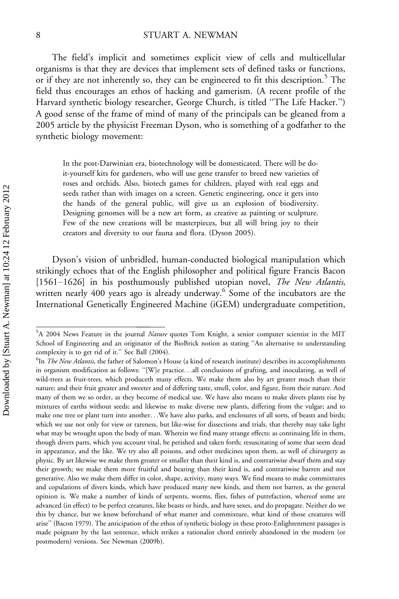## 8 STUART A. NEWMAN

The field's implicit and sometimes explicit view of cells and multicellular organisms is that they are devices that implement sets of defined tasks or functions, or if they are not inherently so, they can be engineered to fit this description.<sup>5</sup> The field thus encourages an ethos of hacking and gamerism. (A recent profile of the Harvard synthetic biology researcher, George Church, is titled ''The Life Hacker.'') A good sense of the frame of mind of many of the principals can be gleaned from a 2005 article by the physicist Freeman Dyson, who is something of a godfather to the synthetic biology movement:

In the post-Darwinian era, biotechnology will be domesticated. There will be doit-yourself kits for gardeners, who will use gene transfer to breed new varieties of roses and orchids. Also, biotech games for children, played with real eggs and seeds rather than with images on a screen. Genetic engineering, once it gets into the hands of the general public, will give us an explosion of biodiversity. Designing genomes will be a new art form, as creative as painting or sculpture. Few of the new creations will be masterpieces, but all will bring joy to their creators and diversity to our fauna and flora. (Dyson 2005).

Dyson's vision of unbridled, human-conducted biological manipulation which strikingly echoes that of the English philosopher and political figure Francis Bacon  $[1561–1626]$  in his posthumously published utopian novel, The New Atlantis, written nearly 400 years ago is already underway.<sup>6</sup> Some of the incubators are the International Genetically Engineered Machine (iGEM) undergraduate competition,

<sup>&</sup>lt;sup>5</sup>A 2004 News Feature in the journal Nature quotes Tom Knight, a senior computer scientist in the MIT School of Engineering and an originator of the BioBrick notion as stating ''An alternative to understanding complexity is to get rid of it." See Ball (2004).

<sup>&</sup>lt;sup>6</sup>In *The New Atlantis*, the father of Salomon's House (a kind of research institute) describes its accomplishments in organism modification as follows: ''[W]e practice...all conclusions of grafting, and inoculating, as well of wild-trees as fruit-trees, which produceth many effects. We make them also by art greater much than their nature; and their fruit greater and sweeter and of differing taste, smell, color, and figure, from their nature. And many of them we so order, as they become of medical use. We have also means to make divers plants rise by mixtures of earths without seeds; and likewise to make diverse new plants, differing from the vulgar; and to make one tree or plant turn into another...We have also parks, and enclosures of all sorts, of beasts and birds; which we use not only for view or rareness, but like-wise for dissections and trials, that thereby may take light what may be wrought upon the body of man. Wherein we find many strange effects: as continuing life in them, though divers parts, which you account vital, be perished and taken forth; resuscitating of some that seem dead in appearance, and the like. We try also all poisons, and other medicines upon them, as well of chirurgery as physic. By art likewise we make them greater or smaller than their kind is, and contrariwise dwarf them and stay their growth; we make them more fruitful and bearing than their kind is, and contrariwise barren and not generative. Also we make them differ in color, shape, activity, many ways. We find means to make commixtures and copulations of divers kinds, which have produced many new kinds, and them not barren, as the general opinion is. We make a number of kinds of serpents, worms, flies, fishes of putrefaction, whereof some are advanced (in effect) to be perfect creatures, like beasts or birds, and have sexes, and do propagate. Neither do we this by chance, but we know beforehand of what matter and commixture, what kind of those creatures will arise'' (Bacon 1979). The anticipation of the ethos of synthetic biology in these proto-Enlightenment passages is made poignant by the last sentence, which strikes a rationalist chord entirely abandoned in the modern (or postmodern) versions. See Newman (2009b).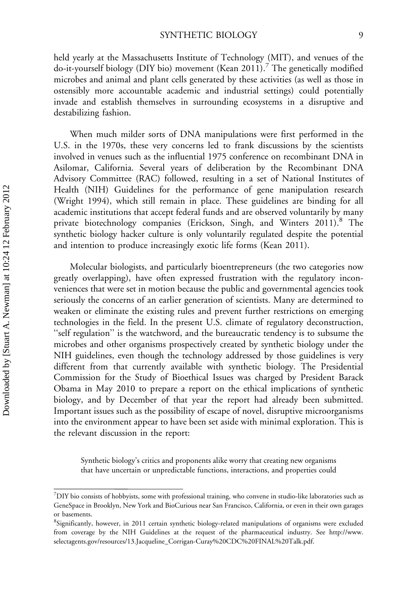held yearly at the Massachusetts Institute of Technology (MIT), and venues of the do-it-yourself biology (DIY bio) movement (Kean 2011).<sup>7</sup> The genetically modified microbes and animal and plant cells generated by these activities (as well as those in ostensibly more accountable academic and industrial settings) could potentially invade and establish themselves in surrounding ecosystems in a disruptive and destabilizing fashion.

When much milder sorts of DNA manipulations were first performed in the U.S. in the 1970s, these very concerns led to frank discussions by the scientists involved in venues such as the influential 1975 conference on recombinant DNA in Asilomar, California. Several years of deliberation by the Recombinant DNA Advisory Committee (RAC) followed, resulting in a set of National Institutes of Health (NIH) Guidelines for the performance of gene manipulation research (Wright 1994), which still remain in place. These guidelines are binding for all academic institutions that accept federal funds and are observed voluntarily by many private biotechnology companies (Erickson, Singh, and Winters 2011).<sup>8</sup> The synthetic biology hacker culture is only voluntarily regulated despite the potential and intention to produce increasingly exotic life forms (Kean 2011).

Molecular biologists, and particularly bioentrepreneurs (the two categories now greatly overlapping), have often expressed frustration with the regulatory inconveniences that were set in motion because the public and governmental agencies took seriously the concerns of an earlier generation of scientists. Many are determined to weaken or eliminate the existing rules and prevent further restrictions on emerging technologies in the field. In the present U.S. climate of regulatory deconstruction, ''self regulation'' is the watchword, and the bureaucratic tendency is to subsume the microbes and other organisms prospectively created by synthetic biology under the NIH guidelines, even though the technology addressed by those guidelines is very different from that currently available with synthetic biology. The Presidential Commission for the Study of Bioethical Issues was charged by President Barack Obama in May 2010 to prepare a report on the ethical implications of synthetic biology, and by December of that year the report had already been submitted. Important issues such as the possibility of escape of novel, disruptive microorganisms into the environment appear to have been set aside with minimal exploration. This is the relevant discussion in the report:

Synthetic biology's critics and proponents alike worry that creating new organisms that have uncertain or unpredictable functions, interactions, and properties could

 $^7$ DIY bio consists of hobbyists, some with professional training, who convene in studio-like laboratories such as GeneSpace in Brooklyn, New York and BioCurious near San Francisco, California, or even in their own garages or basements.

<sup>&</sup>lt;sup>8</sup>Significantly, however, in 2011 certain synthetic biology-related manipulations of organisms were excluded from coverage by the NIH Guidelines at the request of the pharmaceutical industry. See [http://www.](http://www.selectagents.gov/resources/13.Jacqueline_Corrigan-Curay%20CDC%20FINAL%20Talk.pdf) [selectagents.gov/resources/13.Jacqueline\\_Corrigan-Curay%20CDC%20FINAL%20Talk.pdf.](http://www.selectagents.gov/resources/13.Jacqueline_Corrigan-Curay%20CDC%20FINAL%20Talk.pdf)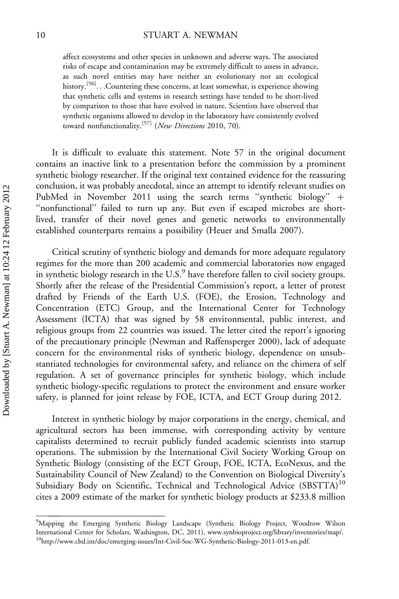# 10 STUART A. NEWMAN

affect ecosystems and other species in unknown and adverse ways. The associated risks of escape and contamination may be extremely difficult to assess in advance, as such novel entities may have neither an evolutionary nor an ecological history.<sup>[56]</sup>...Countering these concerns, at least somewhat, is experience showing that synthetic cells and systems in research settings have tended to be short-lived by comparison to those that have evolved in nature. Scientists have observed that synthetic organisms allowed to develop in the laboratory have consistently evolved toward nonfunctionality.<sup>[57]</sup> (New Directions 2010, 70).

It is difficult to evaluate this statement. Note 57 in the original document contains an inactive link to a presentation before the commission by a prominent synthetic biology researcher. If the original text contained evidence for the reassuring conclusion, it was probably anecdotal, since an attempt to identify relevant studies on PubMed in November 2011 using the search terms "synthetic biology" + "nonfunctional" failed to turn up any. But even if escaped microbes are shortlived, transfer of their novel genes and genetic networks to environmentally established counterparts remains a possibility (Heuer and Smalla 2007).

Critical scrutiny of synthetic biology and demands for more adequate regulatory regimes for the more than 200 academic and commercial laboratories now engaged in synthetic biology research in the U.S. $<sup>9</sup>$  have therefore fallen to civil society groups.</sup> Shortly after the release of the Presidential Commission's report, a letter of protest drafted by Friends of the Earth U.S. (FOE), the Erosion, Technology and Concentration (ETC) Group, and the International Center for Technology Assessment (ICTA) that was signed by 58 environmental, public interest, and religious groups from 22 countries was issued. The letter cited the report's ignoring of the precautionary principle (Newman and Raffensperger 2000), lack of adequate concern for the environmental risks of synthetic biology, dependence on unsubstantiated technologies for environmental safety, and reliance on the chimera of self regulation. A set of governance principles for synthetic biology, which include synthetic biology-specific regulations to protect the environment and ensure worker safety, is planned for joint release by FOE, ICTA, and ECT Group during 2012.

Interest in synthetic biology by major corporations in the energy, chemical, and agricultural sectors has been immense, with corresponding activity by venture capitalists determined to recruit publicly funded academic scientists into startup operations. The submission by the International Civil Society Working Group on Synthetic Biology (consisting of the ECT Group, FOE, ICTA, EcoNexus, and the Sustainability Council of New Zealand) to the Convention on Biological Diversity's Subsidiary Body on Scientific, Technical and Technological Advice (SBSTTA)<sup>10</sup> cites a 2009 estimate of the market for synthetic biology products at \$233.8 million

<sup>9</sup> Mapping the Emerging Synthetic Biology Landscape (Synthetic Biology Project, Woodrow Wilson International Center for Scholars, Washington, DC, 2011), [www.synbioproject.org/library/inventories/map/.](http://www.synbioproject.org/library/inventories/map/) 10[http://www.cbd.int/doc/emerging-issues/Int-Civil-Soc-WG-Synthetic-Biology-2011-013-en.pdf.](http://www.cbd.int/doc/emerging-issues/Int-Civil-Soc-WG-Synthetic-Biology-2011-013-en.pdf)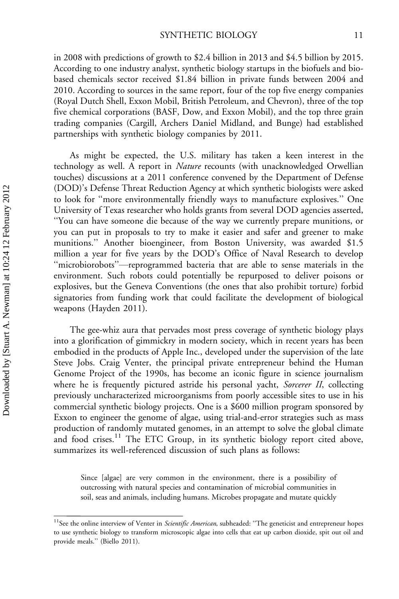in 2008 with predictions of growth to \$2.4 billion in 2013 and \$4.5 billion by 2015. According to one industry analyst, synthetic biology startups in the biofuels and biobased chemicals sector received \$1.84 billion in private funds between 2004 and 2010. According to sources in the same report, four of the top five energy companies (Royal Dutch Shell, Exxon Mobil, British Petroleum, and Chevron), three of the top five chemical corporations (BASF, Dow, and Exxon Mobil), and the top three grain trading companies (Cargill, Archers Daniel Midland, and Bunge) had established partnerships with synthetic biology companies by 2011.

As might be expected, the U.S. military has taken a keen interest in the technology as well. A report in *Nature* recounts (with unacknowledged Orwellian touches) discussions at a 2011 conference convened by the Department of Defense (DOD)'s Defense Threat Reduction Agency at which synthetic biologists were asked to look for ''more environmentally friendly ways to manufacture explosives.'' One University of Texas researcher who holds grants from several DOD agencies asserted, ''You can have someone die because of the way we currently prepare munitions, or you can put in proposals to try to make it easier and safer and greener to make munitions.'' Another bioengineer, from Boston University, was awarded \$1.5 million a year for five years by the DOD's Office of Naval Research to develop "microbiorobots"—reprogrammed bacteria that are able to sense materials in the environment. Such robots could potentially be repurposed to deliver poisons or explosives, but the Geneva Conventions (the ones that also prohibit torture) forbid signatories from funding work that could facilitate the development of biological weapons (Hayden 2011).

The gee-whiz aura that pervades most press coverage of synthetic biology plays into a glorification of gimmickry in modern society, which in recent years has been embodied in the products of Apple Inc., developed under the supervision of the late Steve Jobs. Craig Venter, the principal private entrepreneur behind the Human Genome Project of the 1990s, has become an iconic figure in science journalism where he is frequently pictured astride his personal yacht, Sorcerer II, collecting previously uncharacterized microorganisms from poorly accessible sites to use in his commercial synthetic biology projects. One is a \$600 million program sponsored by Exxon to engineer the genome of algae, using trial-and-error strategies such as mass production of randomly mutated genomes, in an attempt to solve the global climate and food crises.<sup>11</sup> The ETC Group, in its synthetic biology report cited above, summarizes its well-referenced discussion of such plans as follows:

Since [algae] are very common in the environment, there is a possibility of outcrossing with natural species and contamination of microbial communities in soil, seas and animals, including humans. Microbes propagate and mutate quickly

<sup>&</sup>lt;sup>11</sup>See the online interview of Venter in Scientific American, subheaded: "The geneticist and entrepreneur hopes to use synthetic biology to transform microscopic algae into cells that eat up carbon dioxide, spit out oil and provide meals.'' (Biello 2011).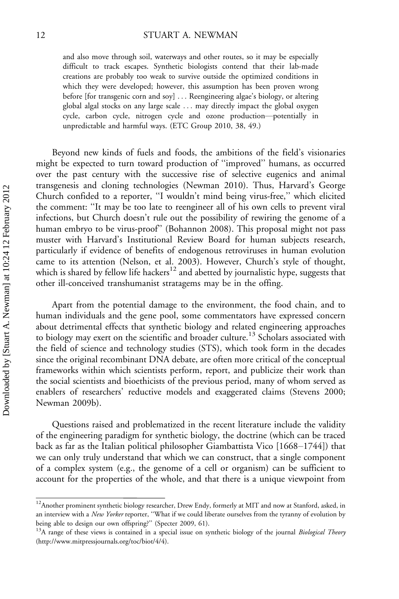and also move through soil, waterways and other routes, so it may be especially difficult to track escapes. Synthetic biologists contend that their lab-made creations are probably too weak to survive outside the optimized conditions in which they were developed; however, this assumption has been proven wrong before [for transgenic corn and soy] ... Reengineering algae's biology, or altering global algal stocks on any large scale ... may directly impact the global oxygen cycle, carbon cycle, nitrogen cycle and ozone production-potentially in unpredictable and harmful ways. (ETC Group 2010, 38, 49.)

Beyond new kinds of fuels and foods, the ambitions of the field's visionaries might be expected to turn toward production of ''improved'' humans, as occurred over the past century with the successive rise of selective eugenics and animal transgenesis and cloning technologies (Newman 2010). Thus, Harvard's George Church confided to a reporter, ''I wouldn't mind being virus-free,'' which elicited the comment: ''It may be too late to reengineer all of his own cells to prevent viral infections, but Church doesn't rule out the possibility of rewiring the genome of a human embryo to be virus-proof'' (Bohannon 2008). This proposal might not pass muster with Harvard's Institutional Review Board for human subjects research, particularly if evidence of benefits of endogenous retroviruses in human evolution came to its attention (Nelson, et al. 2003). However, Church's style of thought, which is shared by fellow life hackers $^{12}$  and abetted by journalistic hype, suggests that other ill-conceived transhumanist stratagems may be in the offing.

Apart from the potential damage to the environment, the food chain, and to human individuals and the gene pool, some commentators have expressed concern about detrimental effects that synthetic biology and related engineering approaches to biology may exert on the scientific and broader culture.<sup>13</sup> Scholars associated with the field of science and technology studies (STS), which took form in the decades since the original recombinant DNA debate, are often more critical of the conceptual frameworks within which scientists perform, report, and publicize their work than the social scientists and bioethicists of the previous period, many of whom served as enablers of researchers' reductive models and exaggerated claims (Stevens 2000; Newman 2009b).

Questions raised and problematized in the recent literature include the validity of the engineering paradigm for synthetic biology, the doctrine (which can be traced back as far as the Italian political philosopher Giambattista Vico [1668-1744]) that we can only truly understand that which we can construct, that a single component of a complex system (e.g., the genome of a cell or organism) can be sufficient to account for the properties of the whole, and that there is a unique viewpoint from

<sup>&</sup>lt;sup>12</sup>Another prominent synthetic biology researcher, Drew Endy, formerly at MIT and now at Stanford, asked, in an interview with a New Yorker reporter, "What if we could liberate ourselves from the tyranny of evolution by being able to design our own offspring?'' (Specter 2009, 61).<br><sup>13</sup>A range of these views is contained in a special issue on synthetic biology of the journal *Biological Theory* 

[<sup>\(</sup>http://www.mitpressjournals.org/toc/biot/4/4\)](http://www.mitpressjournals.org/toc/biot/4/4).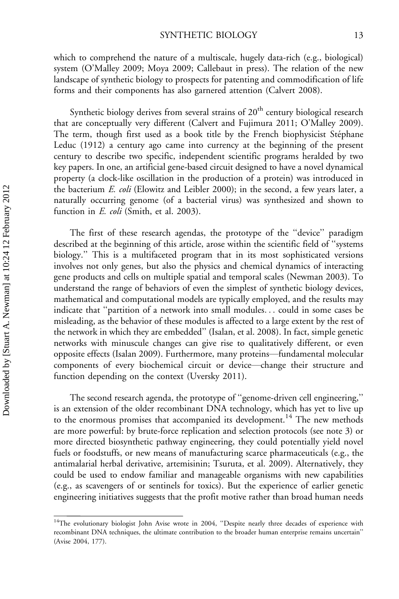which to comprehend the nature of a multiscale, hugely data-rich (e.g., biological) system (O'Malley 2009; Moya 2009; Callebaut in press). The relation of the new landscape of synthetic biology to prospects for patenting and commodification of life forms and their components has also garnered attention (Calvert 2008).

Synthetic biology derives from several strains of  $20<sup>th</sup>$  century biological research that are conceptually very different (Calvert and Fujimura 2011; O'Malley 2009). The term, though first used as a book title by the French biophysicist Stéphane Leduc (1912) a century ago came into currency at the beginning of the present century to describe two specific, independent scientific programs heralded by two key papers. In one, an artificial gene-based circuit designed to have a novel dynamical property (a clock-like oscillation in the production of a protein) was introduced in the bacterium *E. coli* (Elowitz and Leibler 2000); in the second, a few years later, a naturally occurring genome (of a bacterial virus) was synthesized and shown to function in E. coli (Smith, et al. 2003).

The first of these research agendas, the prototype of the ''device'' paradigm described at the beginning of this article, arose within the scientific field of ''systems biology.'' This is a multifaceted program that in its most sophisticated versions involves not only genes, but also the physics and chemical dynamics of interacting gene products and cells on multiple spatial and temporal scales (Newman 2003). To understand the range of behaviors of even the simplest of synthetic biology devices, mathematical and computational models are typically employed, and the results may indicate that ''partition of a network into small modules... could in some cases be misleading, as the behavior of these modules is affected to a large extent by the rest of the network in which they are embedded'' (Isalan, et al. 2008). In fact, simple genetic networks with minuscule changes can give rise to qualitatively different, or even opposite effects (Isalan 2009). Furthermore, many proteins—fundamental molecular components of every biochemical circuit or device—change their structure and function depending on the context (Uversky 2011).

The second research agenda, the prototype of ''genome-driven cell engineering,'' is an extension of the older recombinant DNA technology, which has yet to live up to the enormous promises that accompanied its development.<sup>14</sup> The new methods are more powerful: by brute-force replication and selection protocols (see note 3) or more directed biosynthetic pathway engineering, they could potentially yield novel fuels or foodstuffs, or new means of manufacturing scarce pharmaceuticals (e.g., the antimalarial herbal derivative, artemisinin; Tsuruta, et al. 2009). Alternatively, they could be used to endow familiar and manageable organisms with new capabilities (e.g., as scavengers of or sentinels for toxics). But the experience of earlier genetic engineering initiatives suggests that the profit motive rather than broad human needs

<sup>&</sup>lt;sup>14</sup>The evolutionary biologist John Avise wrote in 2004, "Despite nearly three decades of experience with recombinant DNA techniques, the ultimate contribution to the broader human enterprise remains uncertain'' (Avise 2004, 177).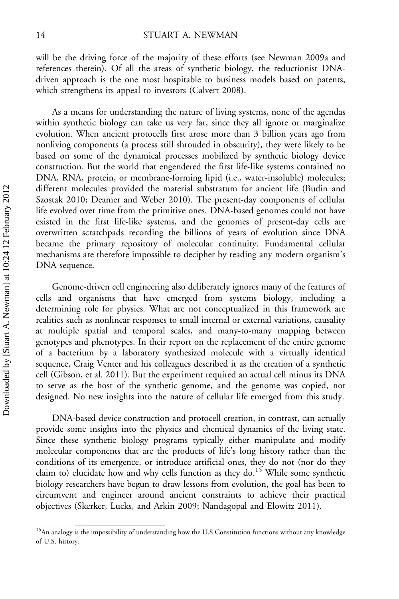will be the driving force of the majority of these efforts (see Newman 2009a and references therein). Of all the areas of synthetic biology, the reductionist DNAdriven approach is the one most hospitable to business models based on patents, which strengthens its appeal to investors (Calvert 2008).

As a means for understanding the nature of living systems, none of the agendas within synthetic biology can take us very far, since they all ignore or marginalize evolution. When ancient protocells first arose more than 3 billion years ago from nonliving components (a process still shrouded in obscurity), they were likely to be based on some of the dynamical processes mobilized by synthetic biology device construction. But the world that engendered the first life-like systems contained no DNA, RNA, protein, or membrane-forming lipid (i.e., water-insoluble) molecules; different molecules provided the material substratum for ancient life (Budin and Szostak 2010; Deamer and Weber 2010). The present-day components of cellular life evolved over time from the primitive ones. DNA-based genomes could not have existed in the first life-like systems, and the genomes of present-day cells are overwritten scratchpads recording the billions of years of evolution since DNA became the primary repository of molecular continuity. Fundamental cellular mechanisms are therefore impossible to decipher by reading any modern organism's DNA sequence.

Genome-driven cell engineering also deliberately ignores many of the features of cells and organisms that have emerged from systems biology, including a determining role for physics. What are not conceptualized in this framework are realities such as nonlinear responses to small internal or external variations, causality at multiple spatial and temporal scales, and many-to-many mapping between genotypes and phenotypes. In their report on the replacement of the entire genome of a bacterium by a laboratory synthesized molecule with a virtually identical sequence, Craig Venter and his colleagues described it as the creation of a synthetic cell (Gibson, et al. 2011). But the experiment required an actual cell minus its DNA to serve as the host of the synthetic genome, and the genome was copied, not designed. No new insights into the nature of cellular life emerged from this study.

DNA-based device construction and protocell creation, in contrast, can actually provide some insights into the physics and chemical dynamics of the living state. Since these synthetic biology programs typically either manipulate and modify molecular components that are the products of life's long history rather than the conditions of its emergence, or introduce artificial ones, they do not (nor do they claim to) elucidate how and why cells function as they do.<sup>15</sup> While some synthetic biology researchers have begun to draw lessons from evolution, the goal has been to circumvent and engineer around ancient constraints to achieve their practical objectives (Skerker, Lucks, and Arkin 2009; Nandagopal and Elowitz 2011).

<sup>&</sup>lt;sup>15</sup>An analogy is the impossibility of understanding how the U.S Constitution functions without any knowledge of U.S. history.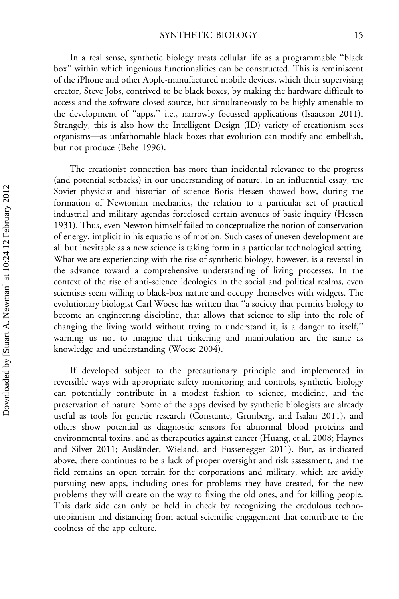SYNTHETIC BIOLOGY 15

In a real sense, synthetic biology treats cellular life as a programmable ''black box'' within which ingenious functionalities can be constructed. This is reminiscent of the iPhone and other Apple-manufactured mobile devices, which their supervising creator, Steve Jobs, contrived to be black boxes, by making the hardware difficult to access and the software closed source, but simultaneously to be highly amenable to the development of ''apps,'' i.e., narrowly focussed applications (Isaacson 2011). Strangely, this is also how the Intelligent Design (ID) variety of creationism sees organisms-as unfathomable black boxes that evolution can modify and embellish, but not produce (Behe 1996).

The creationist connection has more than incidental relevance to the progress (and potential setbacks) in our understanding of nature. In an influential essay, the Soviet physicist and historian of science Boris Hessen showed how, during the formation of Newtonian mechanics, the relation to a particular set of practical industrial and military agendas foreclosed certain avenues of basic inquiry (Hessen 1931). Thus, even Newton himself failed to conceptualize the notion of conservation of energy, implicit in his equations of motion. Such cases of uneven development are all but inevitable as a new science is taking form in a particular technological setting. What we are experiencing with the rise of synthetic biology, however, is a reversal in the advance toward a comprehensive understanding of living processes. In the context of the rise of anti-science ideologies in the social and political realms, even scientists seem willing to black-box nature and occupy themselves with widgets. The evolutionary biologist Carl Woese has written that ''a society that permits biology to become an engineering discipline, that allows that science to slip into the role of changing the living world without trying to understand it, is a danger to itself,'' warning us not to imagine that tinkering and manipulation are the same as knowledge and understanding (Woese 2004).

If developed subject to the precautionary principle and implemented in reversible ways with appropriate safety monitoring and controls, synthetic biology can potentially contribute in a modest fashion to science, medicine, and the preservation of nature. Some of the apps devised by synthetic biologists are already useful as tools for genetic research (Constante, Grunberg, and Isalan 2011), and others show potential as diagnostic sensors for abnormal blood proteins and environmental toxins, and as therapeutics against cancer (Huang, et al. 2008; Haynes and Silver 2011; Ausländer, Wieland, and Fussenegger 2011). But, as indicated above, there continues to be a lack of proper oversight and risk assessment, and the field remains an open terrain for the corporations and military, which are avidly pursuing new apps, including ones for problems they have created, for the new problems they will create on the way to fixing the old ones, and for killing people. This dark side can only be held in check by recognizing the credulous technoutopianism and distancing from actual scientific engagement that contribute to the coolness of the app culture.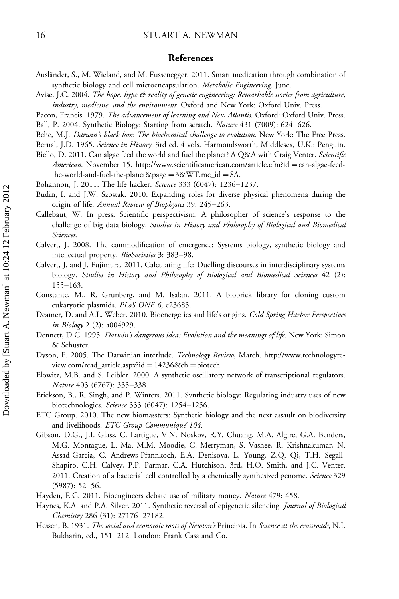### References

- Ausländer, S., M. Wieland, and M. Fussenegger. 2011. Smart medication through combination of synthetic biology and cell microencapsulation. Metabolic Engineering. June.
- Avise, J.C. 2004. The hope, hype & reality of genetic engineering: Remarkable stories from agriculture, industry, medicine, and the environment. Oxford and New York: Oxford Univ. Press.
- Bacon, Francis. 1979. The advancement of learning and New Atlantis. Oxford: Oxford Univ. Press. Ball, P. 2004. Synthetic Biology: Starting from scratch. Nature 431 (7009): 624-626.
- Behe, M.J. Darwin's black box: The biochemical challenge to evolution. New York: The Free Press.
- Bernal, J.D. 1965. Science in History. 3rd ed. 4 vols. Harmondsworth, Middlesex, U.K.: Penguin.
- Biello, D. 2011. Can algae feed the world and fuel the planet? A Q&A with Craig Venter. Scientific American. November 15. [http://www.scientificamerican.com/article.cfm?id](http://www.scientificamerican.com/article.cfm?id = can-algae-feed-the-world-and-fuel-the-planet&page = 3&WT.mc_id = SA) = [can-algae-feed](http://www.scientificamerican.com/article.cfm?id = can-algae-feed-the-world-and-fuel-the-planet&page = 3&WT.mc_id = SA)[the-world-and-fuel-the-planet&page](http://www.scientificamerican.com/article.cfm?id = can-algae-feed-the-world-and-fuel-the-planet&page = 3&WT.mc_id = SA) = [3&WT.mc\\_id](http://www.scientificamerican.com/article.cfm?id = can-algae-feed-the-world-and-fuel-the-planet&page = 3&WT.mc_id = SA) = [SA.](http://www.scientificamerican.com/article.cfm?id = can-algae-feed-the-world-and-fuel-the-planet&page = 3&WT.mc_id = SA)
- Bohannon, J. 2011. The life hacker. Science 333 (6047): 1236-1237.
- Budin, I. and J.W. Szostak. 2010. Expanding roles for diverse physical phenomena during the origin of life. Annual Review of Biophysics 39: 245-263.
- Callebaut, W. In press. Scientific perspectivism: A philosopher of science's response to the challenge of big data biology. Studies in History and Philosophy of Biological and Biomedical Sciences.
- Calvert, J. 2008. The commodification of emergence: Systems biology, synthetic biology and intellectual property. *BioSocieties* 3: 383-98.
- Calvert, J. and J. Fujimura. 2011. Calculating life: Duelling discourses in interdisciplinary systems biology. Studies in History and Philosophy of Biological and Biomedical Sciences 42 (2):  $155 - 163.$
- Constante, M., R. Grunberg, and M. Isalan. 2011. A biobrick library for cloning custom eukaryotic plasmids. PLoS ONE 6, e23685.
- Deamer, D. and A.L. Weber. 2010. Bioenergetics and life's origins. Cold Spring Harbor Perspectives in Biology 2 (2): a004929.
- Dennett, D.C. 1995. Darwin's dangerous idea: Evolution and the meanings of life. New York: Simon & Schuster.
- Dyson, F. 2005. The Darwinian interlude. Technology Review, March. [http://www.technologyre](http://www.technologyreview.com/read_article.aspx?id = 14236&ch = biotech)[view.com/read\\_article.aspx?id](http://www.technologyreview.com/read_article.aspx?id = 14236&ch = biotech) =  $14236$ &ch = [biotech.](http://www.technologyreview.com/read_article.aspx?id = 14236&ch = biotech)
- Elowitz, M.B. and S. Leibler. 2000. A synthetic oscillatory network of transcriptional regulators. Nature 403 (6767): 335-338.
- Erickson, B., R. Singh, and P. Winters. 2011. Synthetic biology: Regulating industry uses of new biotechnologies. Science 333 (6047): 1254-1256.
- ETC Group. 2010. The new biomassters: Synthetic biology and the next assault on biodiversity and livelihoods. ETC Group Communique' 104.
- Gibson, D.G., J.I. Glass, C. Lartigue, V.N. Noskov, R.Y. Chuang, M.A. Algire, G.A. Benders, M.G. Montague, L. Ma, M.M. Moodie, C. Merryman, S. Vashee, R. Krishnakumar, N. Assad-Garcia, C. Andrews-Pfannkoch, E.A. Denisova, L. Young, Z.Q. Qi, T.H. Segall-Shapiro, C.H. Calvey, P.P. Parmar, C.A. Hutchison, 3rd, H.O. Smith, and J.C. Venter. 2011. Creation of a bacterial cell controlled by a chemically synthesized genome. Science 329  $(5987): 52–56.$
- Hayden, E.C. 2011. Bioengineers debate use of military money. Nature 479: 458.
- Haynes, K.A. and P.A. Silver. 2011. Synthetic reversal of epigenetic silencing. Journal of Biological Chemistry 286 (31): 27176-27182.
- Hessen, B. 1931. The social and economic roots of Newton's Principia. In Science at the crossroads, N.I. Bukharin, ed., 151-212. London: Frank Cass and Co.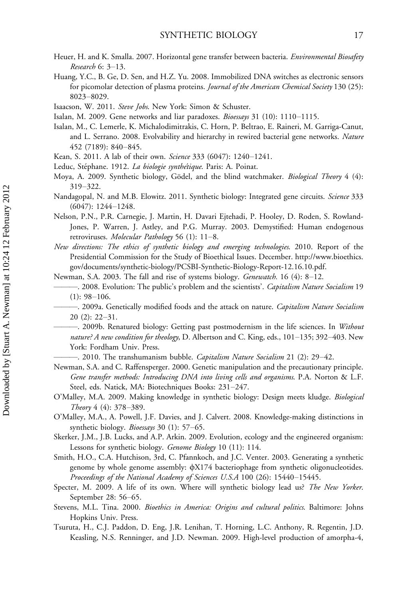- Heuer, H. and K. Smalla. 2007. Horizontal gene transfer between bacteria. Environmental Biosafety Research  $6: 3-13$ .
- Huang, Y.C., B. Ge, D. Sen, and H.Z. Yu. 2008. Immobilized DNA switches as electronic sensors for picomolar detection of plasma proteins. Journal of the American Chemical Society 130 (25): 8023-8029.
- Isaacson, W. 2011. Steve Jobs. New York: Simon & Schuster.
- Isalan, M. 2009. Gene networks and liar paradoxes. Bioessays 31 (10): 1110-1115.
- Isalan, M., C. Lemerle, K. Michalodimitrakis, C. Horn, P. Beltrao, E. Raineri, M. Garriga-Canut, and L. Serrano. 2008. Evolvability and hierarchy in rewired bacterial gene networks. Nature 452 (7189): 840-845.
- Kean, S. 2011. A lab of their own. Science 333 (6047): 1240-1241.
- Leduc, Stéphane. 1912. La biologie synthétique. Paris: A. Poinat.
- Moya, A. 2009. Synthetic biology, Gödel, and the blind watchmaker. Biological Theory 4 (4): 319-322.
- Nandagopal, N. and M.B. Elowitz. 2011. Synthetic biology: Integrated gene circuits. Science 333  $(6047): 1244 - 1248.$
- Nelson, P.N., P.R. Carnegie, J. Martin, H. Davari Ejtehadi, P. Hooley, D. Roden, S. Rowland-Jones, P. Warren, J. Astley, and P.G. Murray. 2003. Demystified: Human endogenous retroviruses. Molecular Pathology 56 (1): 11-8.
- New directions: The ethics of synthetic biology and emerging technologies. 2010. Report of the Presidential Commission for the Study of Bioethical Issues. December. [http://www.bioethics.](http://www.bioethics.gov/documents/synthetic-biology/PCSBI-Synthetic-Biology-Report-12.16.10.pdf) [gov/documents/synthetic-biology/PCSBI-Synthetic-Biology-Report-12.16.10.pdf.](http://www.bioethics.gov/documents/synthetic-biology/PCSBI-Synthetic-Biology-Report-12.16.10.pdf)
- Newman, S.A. 2003. The fall and rise of systems biology. *Genewatch*. 16  $(4)$ : 8-12.
	- -. 2008. Evolution: The public's problem and the scientists'. *Capitalism Nature Socialism* 19  $(1): 98-106.$ 
		- -. 2009a. Genetically modified foods and the attack on nature. *Capitalism Nature Socialism*  $20(2): 22 - 31.$
	- -. 2009b. Renatured biology: Getting past postmodernism in the life sciences. In Without nature? A new condition for theology, D. Albertson and C. King, eds.,  $101-135$ ; 392-403. New York: Fordham Univ. Press.
	- -. 2010. The transhumanism bubble. *Capitalism Nature Socialism* 21 (2): 29–42.
- Newman, S.A. and C. Raffensperger. 2000. Genetic manipulation and the precautionary principle. Gene transfer methods: Introducing DNA into living cells and organisms. P.A. Norton & L.F. Steel, eds. Natick, MA: Biotechniques Books: 231-247.
- O'Malley, M.A. 2009. Making knowledge in synthetic biology: Design meets kludge. Biological Theory  $4(4)$ : 378–389.
- O'Malley, M.A., A. Powell, J.F. Davies, and J. Calvert. 2008. Knowledge-making distinctions in synthetic biology. Bioessays 30 (1): 57-65.
- Skerker, J.M., J.B. Lucks, and A.P. Arkin. 2009. Evolution, ecology and the engineered organism: Lessons for synthetic biology. Genome Biology 10 (11): 114.
- Smith, H.O., C.A. Hutchison, 3rd, C. Pfannkoch, and J.C. Venter. 2003. Generating a synthetic genome by whole genome assembly:  $\phi$ X174 bacteriophage from synthetic oligonucleotides. Proceedings of the National Academy of Sciences U.S.A 100 (26): 15440-15445.
- Specter, M. 2009. A life of its own. Where will synthetic biology lead us? The New Yorker. September 28: 56–65.
- Stevens, M.L. Tina. 2000. Bioethics in America: Origins and cultural politics. Baltimore: Johns Hopkins Univ. Press.
- Tsuruta, H., C.J. Paddon, D. Eng, J.R. Lenihan, T. Horning, L.C. Anthony, R. Regentin, J.D. Keasling, N.S. Renninger, and J.D. Newman. 2009. High-level production of amorpha-4,